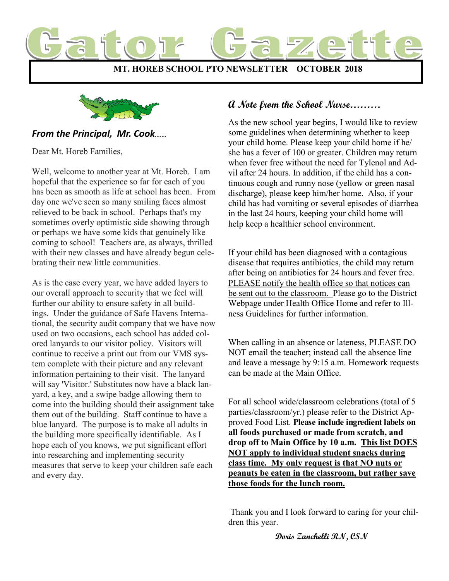



# *From the Principal, Mr. Cook…….*

Dear Mt. Horeb Families,

Well, welcome to another year at Mt. Horeb. I am hopeful that the experience so far for each of you has been as smooth as life at school has been. From day one we've seen so many smiling faces almost relieved to be back in school. Perhaps that's my sometimes overly optimistic side showing through or perhaps we have some kids that genuinely like coming to school! Teachers are, as always, thrilled with their new classes and have already begun celebrating their new little communities.

As is the case every year, we have added layers to our overall approach to security that we feel will further our ability to ensure safety in all buildings. Under the guidance of Safe Havens International, the security audit company that we have now used on two occasions, each school has added colored lanyards to our visitor policy. Visitors will continue to receive a print out from our VMS system complete with their picture and any relevant information pertaining to their visit. The lanyard will say 'Visitor.' Substitutes now have a black lanyard, a key, and a swipe badge allowing them to come into the building should their assignment take them out of the building. Staff continue to have a blue lanyard. The purpose is to make all adults in the building more specifically identifiable. As I hope each of you knows, we put significant effort into researching and implementing security measures that serve to keep your children safe each and every day.

# **A Note from the School Nurse………**

As the new school year begins, I would like to review some guidelines when determining whether to keep your child home. Please keep your child home if he/ she has a fever of 100 or greater. Children may return when fever free without the need for Tylenol and Advil after 24 hours. In addition, if the child has a continuous cough and runny nose (yellow or green nasal discharge), please keep him/her home. Also, if your child has had vomiting or several episodes of diarrhea in the last 24 hours, keeping your child home will help keep a healthier school environment.

If your child has been diagnosed with a contagious disease that requires antibiotics, the child may return after being on antibiotics for 24 hours and fever free. PLEASE notify the health office so that notices can be sent out to the classroom. Please go to the District Webpage under Health Office Home and refer to Illness Guidelines for further information.

When calling in an absence or lateness, PLEASE DO NOT email the teacher; instead call the absence line and leave a message by 9:15 a.m. Homework requests can be made at the Main Office.

For all school wide/classroom celebrations (total of 5 parties/classroom/yr.) please refer to the District Approved Food List. **Please include ingredient labels on all foods purchased or made from scratch, and drop off to Main Office by 10 a.m. This list DOES NOT apply to individual student snacks during class time. My only request is that NO nuts or peanuts be eaten in the classroom, but rather save those foods for the lunch room.** 

Thank you and I look forward to caring for your children this year.

**Doris Zanchelli RN, CSN**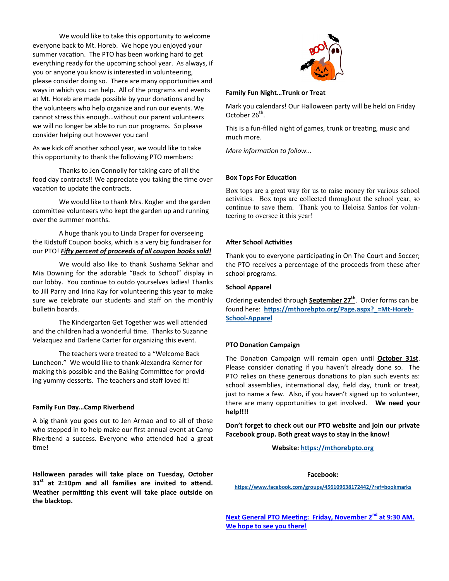We would like to take this opportunity to welcome everyone back to Mt. Horeb. We hope you enjoyed your summer vacation. The PTO has been working hard to get everything ready for the upcoming school year. As always, if you or anyone you know is interested in volunteering, please consider doing so. There are many opportunities and ways in which you can help. All of the programs and events at Mt. Horeb are made possible by your donations and by the volunteers who help organize and run our events. We cannot stress this enough…without our parent volunteers we will no longer be able to run our programs. So please consider helping out however you can!

As we kick off another school year, we would like to take this opportunity to thank the following PTO members:

Thanks to Jen Connolly for taking care of all the food day contracts!! We appreciate you taking the time over vacation to update the contracts.

We would like to thank Mrs. Kogler and the garden committee volunteers who kept the garden up and running over the summer months.

A huge thank you to Linda Draper for overseeing the Kidstuff Coupon books, which is a very big fundraiser for our PTO! *Fifty percent of proceeds of all coupon books sold!*

We would also like to thank Sushama Sekhar and Mia Downing for the adorable "Back to School" display in our lobby. You continue to outdo yourselves ladies! Thanks to Jill Parry and Irina Kay for volunteering this year to make sure we celebrate our students and staff on the monthly bulletin boards.

The Kindergarten Get Together was well attended and the children had a wonderful time. Thanks to Suzanne Velazquez and Darlene Carter for organizing this event.

The teachers were treated to a "Welcome Back Luncheon." We would like to thank Alexandra Kerner for making this possible and the Baking Committee for providing yummy desserts. The teachers and staff loved it!

#### **Family Fun Day…Camp Riverbend**

A big thank you goes out to Jen Armao and to all of those who stepped in to help make our first annual event at Camp Riverbend a success. Everyone who attended had a great time!

**Halloween parades will take place on Tuesday, October 31st at 2:10pm and all families are invited to attend. Weather permitting this event will take place outside on the blacktop.**



#### **Family Fun Night…Trunk or Treat**

Mark you calendars! Our Halloween party will be held on Friday October  $26^{th}$ .

This is a fun-filled night of games, trunk or treating, music and much more.

*More information to follow...*

## **Box Tops For Education**

Box tops are a great way for us to raise money for various school activities. Box tops are collected throughout the school year, so continue to save them. Thank you to Heloisa Santos for volunteering to oversee it this year!

## **After School Activities**

Thank you to everyone participating in On The Court and Soccer; the PTO receives a percentage of the proceeds from these after school programs.

## **School Apparel**

Ordering extended through **September 27th**. Order forms can be found here: **[https://mthorebpto.org/Page.aspx?\\_=Mt](https://mthorebpto.org/Page.aspx?_=Mt-Horeb-School-Apparel)-Horeb-School-[Apparel](https://mthorebpto.org/Page.aspx?_=Mt-Horeb-School-Apparel)**

## **PTO Donation Campaign**

The Donation Campaign will remain open until **October 31st**. Please consider donating if you haven't already done so. The PTO relies on these generous donations to plan such events as: school assemblies, international day, field day, trunk or treat, just to name a few. Also, if you haven't signed up to volunteer, there are many opportunities to get involved. **We need your help!!!!**

**Don't forget to check out our PTO website and join our private Facebook group. Both great ways to stay in the know!**

**Website:<https://mthorebpto.org>**

## **Facebook:**

**<https://www.facebook.com/groups/456109638172442/?ref=bookmarks>**

**Next General PTO Meeting: Friday, November 2nd at 9:30 AM. We hope to see you there!**